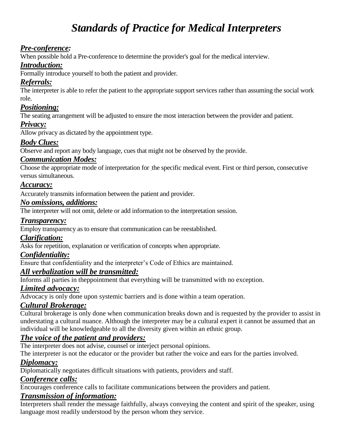# *Standards of Practice for Medical Interpreters*

## *Pre-conference:*

When possible hold a Pre-conference to determine the provider's goal for the medical interview.

#### *Introduction:*

Formally introduce yourself to both the patient and provider.

## *Referrals:*

The interpreter is able to refer the patient to the appropriate support services rather than assuming the social work role.

## *Positioning:*

The seating arrangement will be adjusted to ensure the most interaction between the provider and patient.

## *Privacy:*

Allow privacy as dictated by the appointment type.

## *Body Clues:*

Observe and report any body language, cues that might not be observed by the provide.

## *Communication Modes:*

Choose the appropriate mode of interpretation for the specific medical event. First or third person, consecutive versus simultaneous.

## *Accuracy:*

Accurately transmits information between the patient and provider.

#### *No omissions, additions:*

The interpreter will not omit, delete or add information to the interpretation session.

#### *Transparency:*

Employ transparency as to ensure that communication can be reestablished.

#### *Clarification:*

Asks for repetition, explanation or verification of concepts when appropriate.

## *Confidentiality:*

Ensure that confidentiality and the interpreter's Code of Ethics are maintained.

## *All verbalization will be transmitted:*

Informs all parties in theppointment that everything will be transmitted with no exception.

#### *Limited advocacy:*

Advocacy is only done upon systemic barriers and is done within a team operation.

#### *Cultural Brokerage:*

Cultural brokerage is only done when communication breaks down and is requested by the provider to assist in understating a cultural nuance. Although the interpreter may be a cultural expert it cannot be assumed that an individual will be knowledgeable to all the diversity given within an ethnic group.

## *The voice of the patient and providers:*

The interpreter does not advise, counsel or interject personal opinions.

The interpreter is not the educator or the provider but rather the voice and ears for the parties involved.

## *Diplomacy:*

Diplomatically negotiates difficult situations with patients, providers and staff.

## *Conference calls:*

Encourages conference calls to facilitate communications between the providers and patient.

## *Transmission of information:*

Interpreters shall render the message faithfully, always conveying the content and spirit of the speaker, using language most readily understood by the person whom they service.